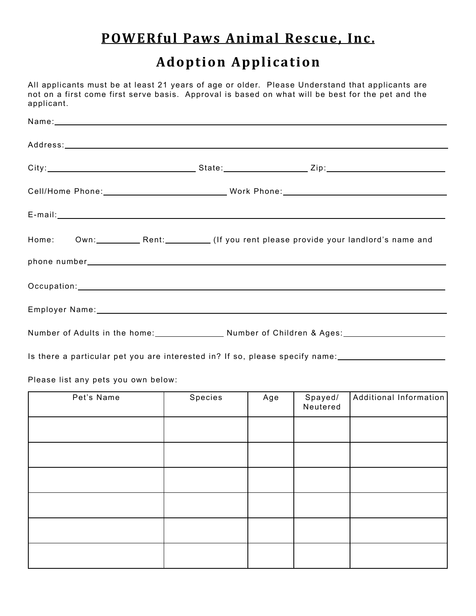## **POWERful Paws Animal Rescue, Inc.**

## **Adoption Application**

All applicants must be at least 21 years of age or older. Please Understand that applicants are not on a first come first serve basis. Approval is based on what will be best for the pet and the applicant.

| Home: Own: Rent: Rent: (If you rent please provide your landlord's name and         |
|-------------------------------------------------------------------------------------|
|                                                                                     |
|                                                                                     |
|                                                                                     |
| Number of Adults in the home: Number of Children & Ages: Number of Children & Ages: |
|                                                                                     |

Is there a particular pet you are interested in? If so, please specify name:

Please list any pets you own below:

| Pet's Name | Species | Age | Spayed/<br>Neutered | Additional Information |
|------------|---------|-----|---------------------|------------------------|
|            |         |     |                     |                        |
|            |         |     |                     |                        |
|            |         |     |                     |                        |
|            |         |     |                     |                        |
|            |         |     |                     |                        |
|            |         |     |                     |                        |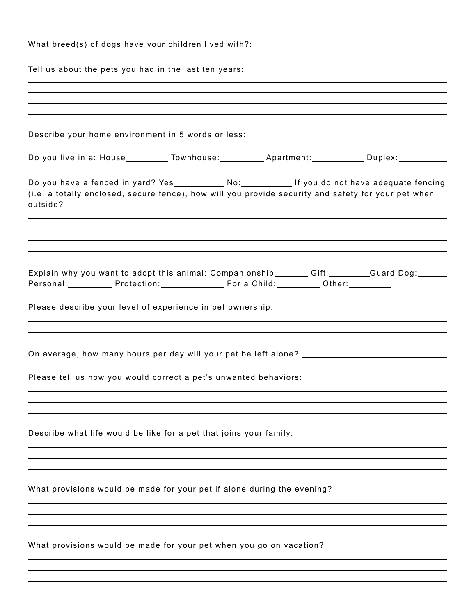| What breed(s) of dogs have your children lived with?:___________________________                                                                                                                    |
|-----------------------------------------------------------------------------------------------------------------------------------------------------------------------------------------------------|
| Tell us about the pets you had in the last ten years:                                                                                                                                               |
|                                                                                                                                                                                                     |
|                                                                                                                                                                                                     |
| Describe your home environment in 5 words or less:______________________________                                                                                                                    |
| Do you live in a: House___________Townhouse:_____________Apartment:_____________Duplex:____________                                                                                                 |
| (i.e, a totally enclosed, secure fence), how will you provide security and safety for your pet when<br>outside?<br>,我们也不会有什么。""我们的人,我们也不会有什么?""我们的人,我们也不会有什么?""我们的人,我们也不会有什么?""我们的人,我们也不会有什么?""我们的人 |
| ,我们也不会有什么?""我们的人,我们也不会有什么?""我们的人,我们也不会有什么?""我们的人,我们也不会有什么?""我们的人,我们也不会有什么?""我们的人                                                                                                                    |
|                                                                                                                                                                                                     |
| Explain why you want to adopt this animal: Companionship_______Gift:_______Guard Dog:______<br>Personal:____________Protection:________________________For a Child:____________Other:____________   |
| Please describe your level of experience in pet ownership:                                                                                                                                          |
| On average, how many hours per day will your pet be left alone? _______________________                                                                                                             |
| Please tell us how you would correct a pet's unwanted behaviors:                                                                                                                                    |
|                                                                                                                                                                                                     |
| Describe what life would be like for a pet that joins your family:                                                                                                                                  |
|                                                                                                                                                                                                     |
| What provisions would be made for your pet if alone during the evening?                                                                                                                             |
|                                                                                                                                                                                                     |
| What provisions would be made for your pet when you go on vacation?                                                                                                                                 |
|                                                                                                                                                                                                     |

 $\overline{a}$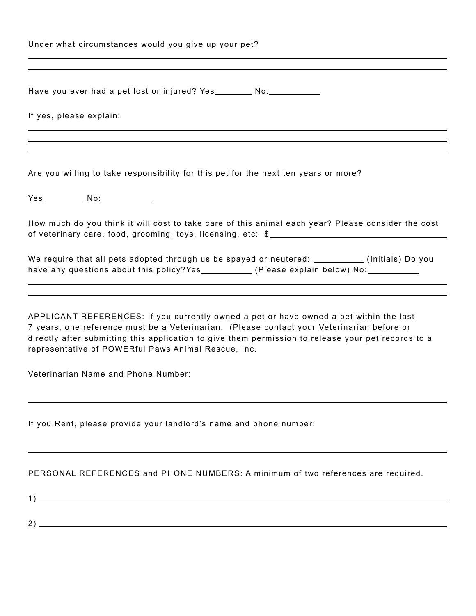| Under what circumstances would you give up your pet?                                                                                                                                                                                                                                                                                               |
|----------------------------------------------------------------------------------------------------------------------------------------------------------------------------------------------------------------------------------------------------------------------------------------------------------------------------------------------------|
| Have you ever had a pet lost or injured? Yes _________ No: _____________                                                                                                                                                                                                                                                                           |
| If yes, please explain:                                                                                                                                                                                                                                                                                                                            |
| Are you willing to take responsibility for this pet for the next ten years or more?                                                                                                                                                                                                                                                                |
|                                                                                                                                                                                                                                                                                                                                                    |
| How much do you think it will cost to take care of this animal each year? Please consider the cost                                                                                                                                                                                                                                                 |
| We require that all pets adopted through us be spayed or neutered: _________(Initials) Do you<br>have any questions about this policy?Yes__________(Please explain below) No:__________                                                                                                                                                            |
| APPLICANT REFERENCES: If you currently owned a pet or have owned a pet within the last<br>7 years, one reference must be a Veterinarian. (Please contact your Veterinarian before or<br>directly after submitting this application to give them permission to release your pet records to a<br>representative of POWERful Paws Animal Rescue, Inc. |
| Veterinarian Name and Phone Number:                                                                                                                                                                                                                                                                                                                |
| If you Rent, please provide your landlord's name and phone number:                                                                                                                                                                                                                                                                                 |

## PERSONAL REFERENCES and PHONE NUMBERS: A minimum of two references are required.

1)

 $\overline{a}$ 

2)